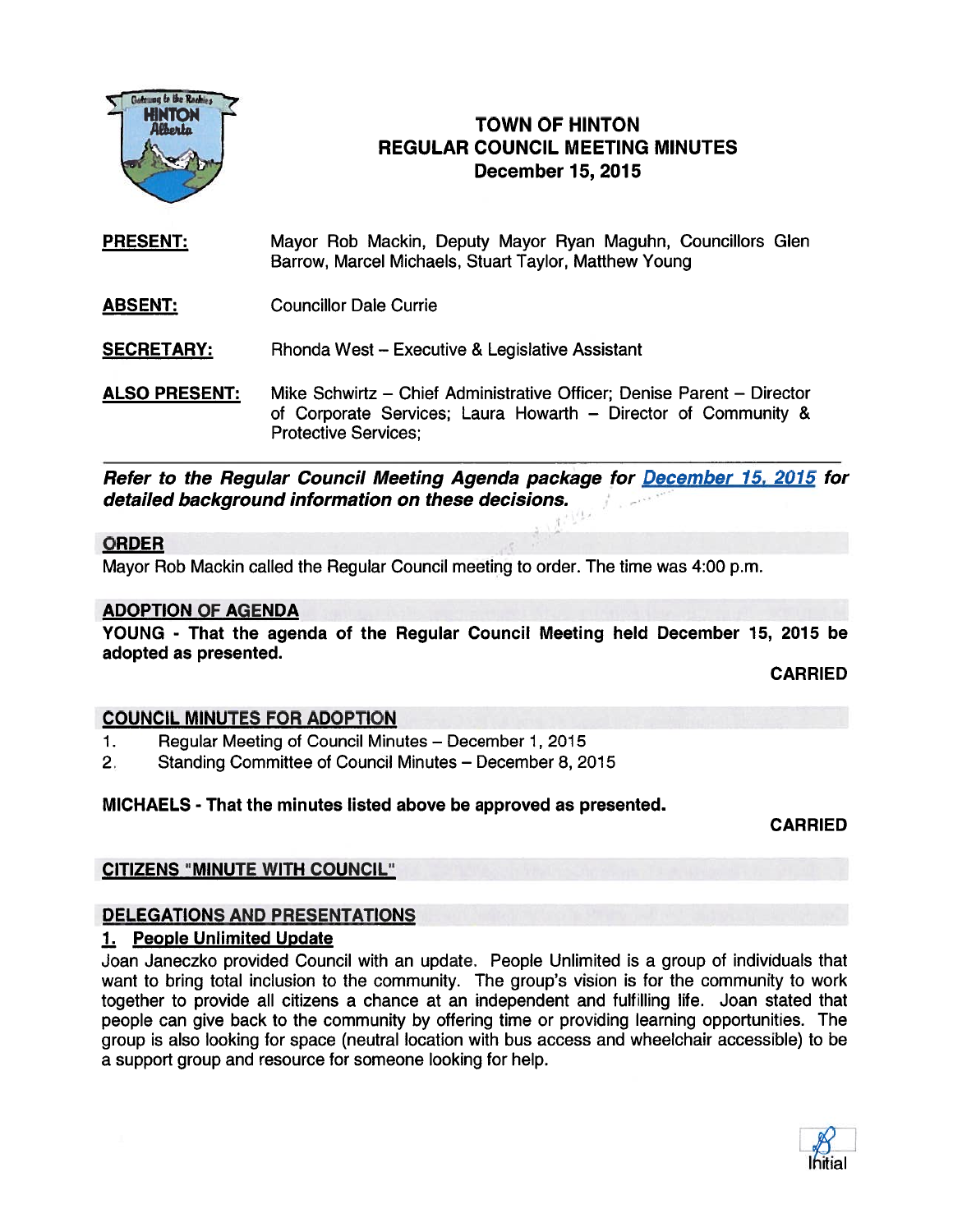

## HNTON TOWN OF HINTON REGULAR COUNCIL MEETING MINUTES December 15, 2015

- PRESENT: Mayor Rob Mackin, Deputy Mayor Ryan Maguhn, Councillors Glen Barrow, Marcel Michaels, Stuart Taylor, Matthew Young
- ABSENT: Councillor Dale Currie

**SECRETARY:** Rhonda West – Executive & Legislative Assistant

ALSO PRESENT: Mike Schwirtz - Chief Administrative Officer; Denise Parent - Director of Corporate Services; Laura Howarth — Director of Community & Protective Services;

Refer to the Regular Council Meeting Agenda package for December 15, 2015 for detailed background information on these decisions.

### ORDER

Mayor Rob Mackin called the Regular Council meeting to order. The time was 4:00 p.m.

#### ADOPTION OF AGENDA

YOUNG - That the agenda of the Regular Council Meeting held December 15, 2015 be adopted as presented.

CARRIED

### COUNCIL MINUTES FOR ADOPTION

- 1. Regular Meeting of Council Minutes December 1, 2015
- 2. Standing Committee of Council Minutes December 8, 2015

### MICHAELS - That the minutes listed above be approved as presented.

**CARRIED** 

### CITIZENS 'MINUTE WITH COUNCIL"

### DELEGATIONS AND PRESENTATIONS

### 1. People Unlimited Update

Joan Janeczko provided Council with an update. People Unlimited is <sup>a</sup> group of individuals that want to bring total inclusion to the community. The group's vision is for the community to work together to provide all citizens <sup>a</sup> chance at an independent and fulfilling life. Joan stated that people can give back to the community by offering time or providing learning opportunities. The group is also looking for space (neutral location with bus access and wheelchair accessible) to be <sup>a</sup> suppor<sup>t</sup> group and resource for someone looking for help.

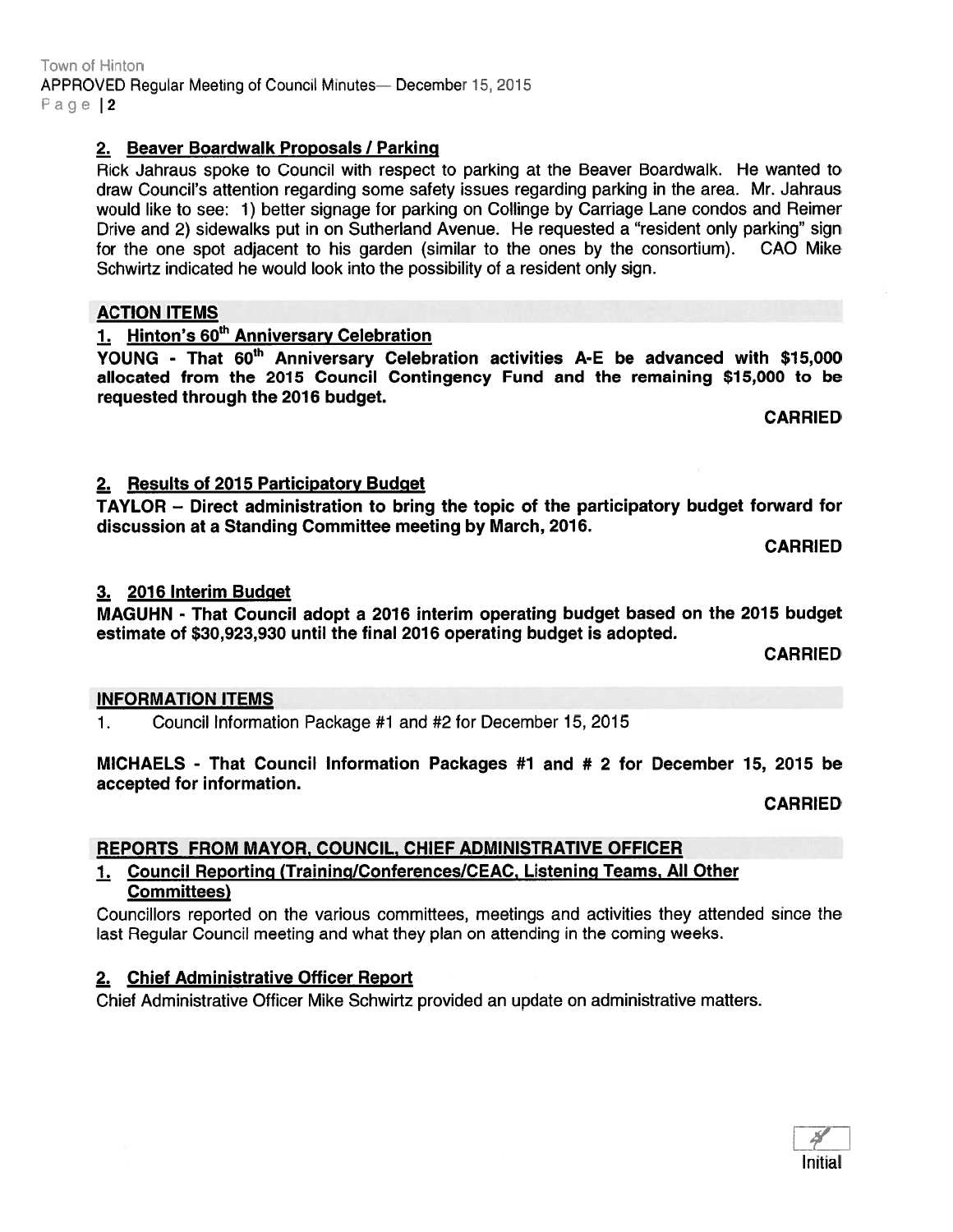# 2. Beaver Boardwalk Proposals / Parking

Rick Jahraus spoke to Council with respec<sup>t</sup> to parking at the Beaver Boardwalk. He wanted to draw Council's attention regarding some safety issues regarding parking in the area. Mr. Jahraus would like to see: 1) better signage for parking on Collinge by Carriage Lane condos and Reimer Drive and 2) sidewalks pu<sup>t</sup> in on Sutherland Avenue. He requested <sup>a</sup> "resident only parking" sign for the one spo<sup>t</sup> adjacent to his garden (similar to the ones by the consortium). CAO Mike Schwirtz indicated he would look into the possibility of <sup>a</sup> resident only sign.

## ACTION ITEMS

1. Hinton's 60<sup>th</sup> Anniversary Celebration YOUNG - That 60<sup>th</sup> Anniversary Celebration activities A-E be advanced with \$15,000 allocated from the 2015 Council Contingency Fund and the remaining \$15,000 to be requested through the 2016 budget.

CARRIED

# 2. Results of 2015 Participatory Budget

TAYLOR — Direct administration to bring the topic of the participatory budget forward for discussion at <sup>a</sup> Standing Committee meeting by March, 2016.

CARRIED

## 3. 2016 Interim Budget

MAGUHN - That Council adopt <sup>a</sup> 2016 interim operating budget based on the 2015 budget estimate of \$30,923,930 until the final 2016 operating budget is adopted.

CARRIED

## INFORMATION ITEMS

1. Council Information Package #1 and #2 for December 15, 2015

MICHAELS - That Council Information Packages #1 and # 2 for December 15, 2015 be accepted for information.

CARRIED

# REPORTS FROM MAYOR, COUNCIL, CHIEF ADMINISTRATIVE OFFICER

### 1. Council Reporting (Training/Conferences/CEAC, Listening Teams, All Other Committees)

Councillors reported on the various committees, meetings and activities they attended since the last Regular Council meeting and what they plan on attending in the coming weeks.

## 2. Chief Administrative Officer Report

Chief Administrative Officer Mike Schwirtz provided an update on administrative matters.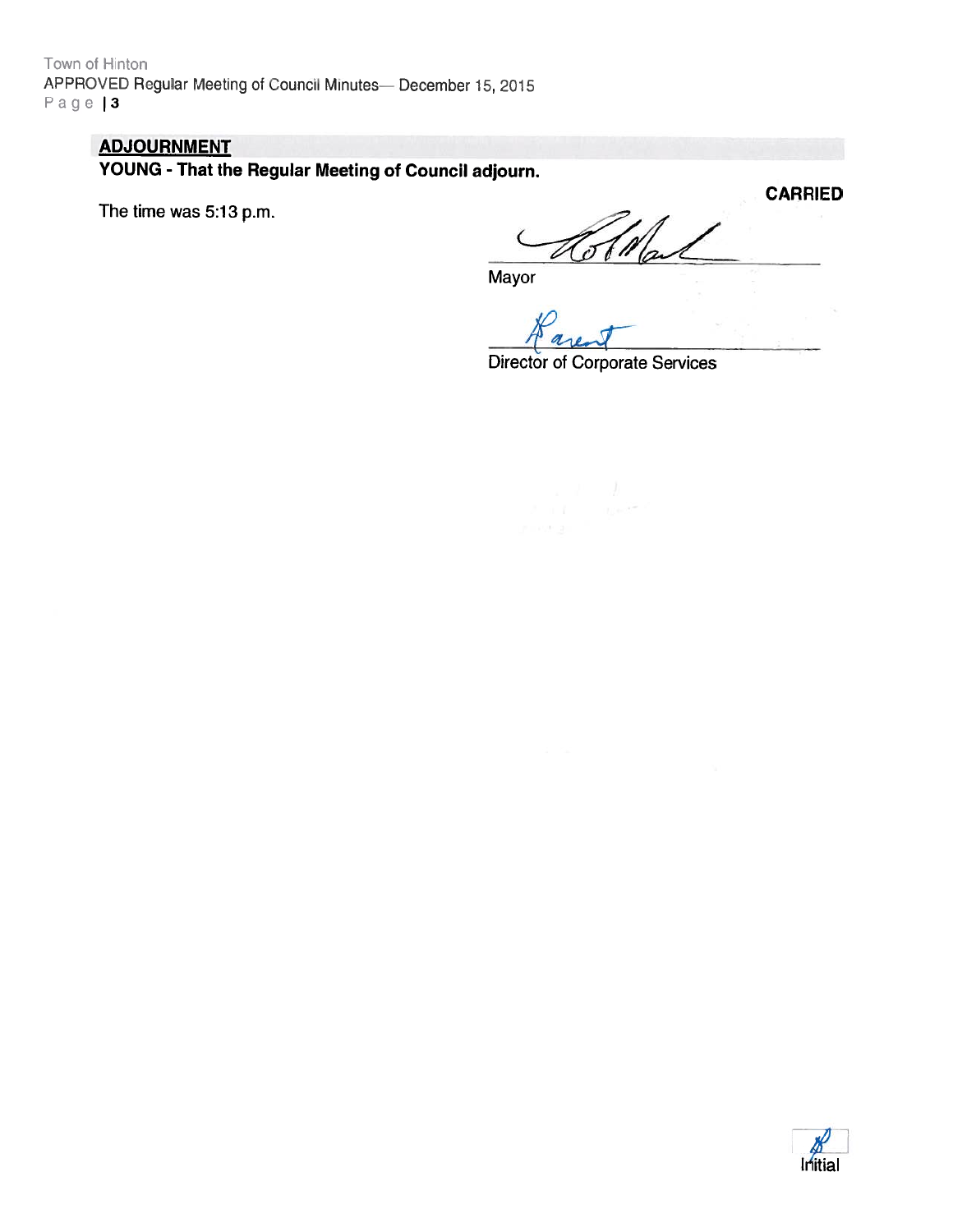Town of Hinton APPROVED Regular Meeting of Council Minutes- December 15, 2015 Page | 3

### ADJOURNMENT

YOUNG - That the Regular Meeting of Council adjourn.

The time was 5:13 p.m.

**CARRIED** 7 II

Mayor

Director of Corporate Services